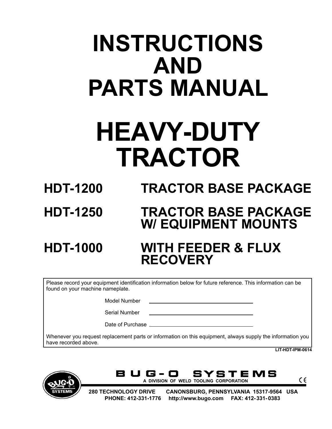# **INSTRUCTIONS AND PARTS MANUAL**

# **HEAVY-DUTY TRACTOR**

**HDT-1200 TRACTOR BASE PACKAGE**

# **HDT-1250 TRACTOR BASE PACKAGE W/ EQUIPMENT MOUNTS**

# **HDT-1000 WITH FEEDER & FLUX RECOVERY**

Please record your equipment identification information below for future reference. This information can be found on your machine nameplate.

Model Number

Serial Number

Date of Purchase \_

Whenever you request replacement parts or information on this equipment, always supply the information you have recorded above.

**LIT-HDT-IPM-0614**





 $\epsilon$ 

 **280 TECHNOLOGY DRIVE CANONSBURG, PENNSYLVANIA 15317-9564 USA PHONE: 412-331-1776 http://www.bugo.com FAX: 412-331- 0383**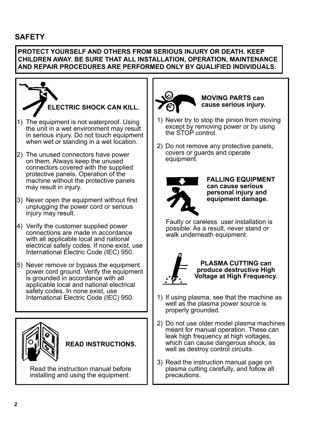# **SAFETY**

#### **PROTECT YOURSELF AND OTHERS FROM SERIOUS INJURY OR DEATH. KEEP CHILDREN AWAY. BE SURE THAT ALL INSTALLATION, OPERATION, MAINTENANCE AND REPAIR PROCEDURES ARE PERFORMED ONLY BY QUALIFIED INDIVIDUALS.**



3) Read the instruction manual page on plasma cutting carefully, and follow all precautions.

Read the instruction manual before installing and using the equipment.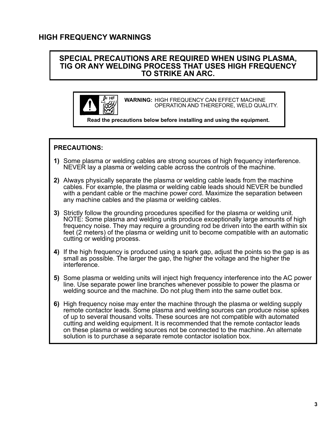### **HIGH FREQUENCY WARNINGS**

: HP

#### **SPECIAL PRECAUTIONS ARE REQUIRED WHEN USING PLASMA, TIG OR ANY WELDING PROCESS THAT USES HIGH FREQUENCY TO STRIKE AN ARC.**

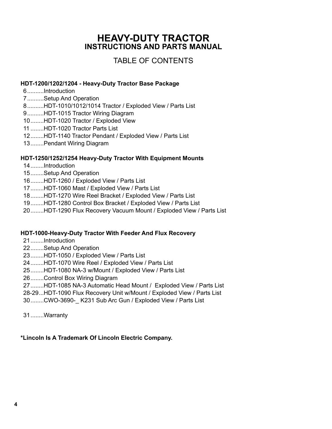# **HEAVY-DUTY TRACTOR INSTRUCTIONS AND PARTS MANUAL**

# TABLE OF CONTENTS

#### **HDT-1200/1202/1204 - Heavy-Duty Tractor Base Package**

- 6[..........Introduction](#page-5-0)
- 7[..........Setup And Operation](#page-6-0)
- 8[..........HDT-1010/1012/1014 Tractor / Exploded View / Parts List](#page-7-0)
- [9..........HDT-1015 Tractor Wiring Diagram](#page-8-0)
- [10........HDT-1020 Tractor / Exploded View](#page-9-0)
- 11 [........HDT-1020 Tractor Parts List](#page-10-0)
- 12[........HDT-1140 Tractor Pendant / Exploded View / Parts List](#page-11-0)
- 13[........Pendant Wiring Diagram](#page-12-0)

#### **HDT-1250/1252/1254 Heavy-Duty Tractor With Equipment Mounts**

- 14[........Introduction](#page-13-0)
- [15........Setup And Operation](#page-14-0)
- 16[........HDT-1260 / Exploded View / Parts List](#page-15-0)
- 17[........HDT-1060 Mast / Exploded View / Parts List](#page-16-0)
- 18[........HDT-1270 Wire Reel Bracket / Exploded View / Parts List](#page-17-0)
- [19........HDT-1280 Control Box Bracket / Exploded View / Parts List](#page-18-0)
- [20........HDT-1290 Flux Recovery Vacuum Mount / Exploded View / Parts List](#page-19-0)

#### **HDT-1000-Heavy-Duty Tractor With Feeder And Flux Recovery**

- 21[........Introduction](#page-20-0)
- 22[........Setup And Operation](#page-21-0)
- 23[........HDT-1050 / Exploded View / Parts List](#page-22-0)
- 24[........HDT-1070 Wire Reel / Exploded View / Parts List](#page-23-0)
- [25........HDT-1080 NA-3 w/Mount / Exploded View / Parts List](#page-24-0)
- 26[........Control Box Wiring Diagram](#page-25-0)
- 27[........HDT-1085 NA-3 Automatic Head Mount / Exploded View / Parts List](#page-26-0)
- [28-29...HDT-1090 Flux Recovery Unit w/Mount / Exploded View / Parts List](#page-27-0)
- [30........CWO-3690-\\_ K231 Sub Arc Gun / Exploded View / Parts List](#page-29-0)
- 31........[Warranty](#page-30-0)

#### **\*Lincoln Is A Trademark Of Lincoln Electric Company.**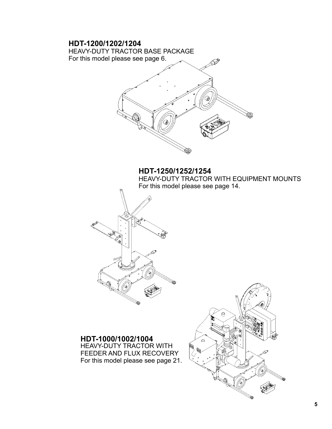# **HDT-1200/1202/1204** HEAVY-DUTY TRACTOR BASE PACKAGE For this model please see page 6. **HDT-1250/1252/1254** HEAVY-DUTY TRACTOR WITH EQUIPMENT MOUNTS For this model please see page 14. **HDT-1000/1002/1004**  $\circ$ HEAVY-DUTY TRACTOR WITH **REA** 露 FEEDER AND FLUX RECOVERY For this model please see page 21.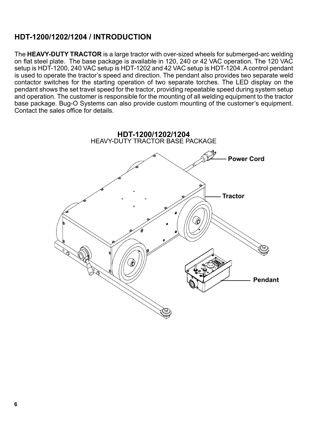# <span id="page-5-0"></span>**HDT-1200/1202/1204 / INTRODUCTION**

The **HEAVY-DUTY TRACTOR** is a large tractor with over-sized wheels for submerged-arc welding on flat steel plate. The base package is available in 120, 240 or 42 VAC operation. The 120 VAC setup is HDT-1200, 240 VAC setup is HDT-1202 and 42 VAC setup is HDT-1204. A control pendant is used to operate the tractor's speed and direction. The pendant also provides two separate weld contactor switches for the starting operation of two separate torches. The LED display on the pendant shows the set travel speed for the tractor, providing repeatable speed during system setup and operation. The customer is responsible for the mounting of all welding equipment to the tractor base package. Bug-O Systems can also provide custom mounting of the customer's equipment. Contact the sales office for details.

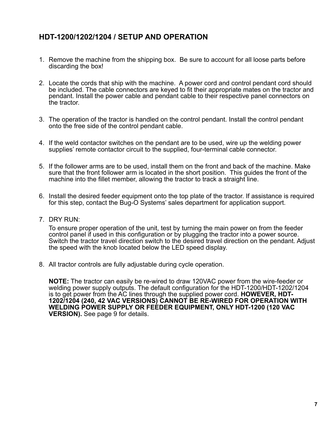# <span id="page-6-0"></span>**HDT-1200/1202/1204 / SETUP AND OPERATION**

- 1. Remove the machine from the shipping box. Be sure to account for all loose parts before discarding the box!
- 2. Locate the cords that ship with the machine. A power cord and control pendant cord should be included. The cable connectors are keyed to fit their appropriate mates on the tractor and pendant. Install the power cable and pendant cable to their respective panel connectors on the tractor.
- 3. The operation of the tractor is handled on the control pendant. Install the control pendant onto the free side of the control pendant cable.
- 4. If the weld contactor switches on the pendant are to be used, wire up the welding power supplies' remote contactor circuit to the supplied, four-terminal cable connector.
- 5. If the follower arms are to be used, install them on the front and back of the machine. Make sure that the front follower arm is located in the short position. This guides the front of the machine into the fillet member, allowing the tractor to track a straight line.
- 6. Install the desired feeder equipment onto the top plate of the tractor. If assistance is required for this step, contact the Bug-O Systems' sales department for application support.
- 7. DRY RUN:

To ensure proper operation of the unit, test by turning the main power on from the feeder control panel if used in this configuration or by plugging the tractor into a power source. Switch the tractor travel direction switch to the desired travel direction on the pendant. Adjust the speed with the knob located below the LED speed display.

8. All tractor controls are fully adjustable during cycle operation.

**NOTE:** The tractor can easily be re-wired to draw 120VAC power from the wire-feeder or welding power supply outputs. The default configuration for the HDT-1200/HDT-1202/1204 is to get power from the AC lines through the supplied power cord. **HOWEVER, HDT-1202/1204 (240, 42 VAC VERSIONS) CANNOT BE RE-WIRED FOR OPERATION WITH WELDING POWER SUPPLY OR FEEDER EQUIPMENT, ONLY HDT-1200 (120 VAC VERSION).** See page 9 for details.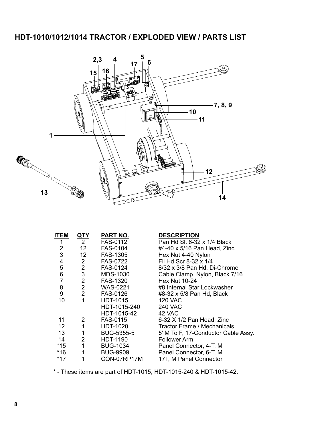# <span id="page-7-0"></span>**HDT-1010/1012/1014 TRACTOR / EXPLODED VIEW / PARTS LIST**



| <b>ITEM</b>     | <u>QTY</u>      | PART NO.          | <b>DESCRIPTION</b>                  |
|-----------------|-----------------|-------------------|-------------------------------------|
| 1               | $\overline{2}$  | FAS-0112          | Pan Hd SIt 6-32 x 1/4 Black         |
| 2               | 12 <sup>2</sup> | FAS-0104          | #4-40 x 5/16 Pan Head, Zinc         |
| 3               | 12              | FAS-1305          | Hex Nut 4-40 Nylon                  |
| 4               | $2^{\circ}$     | <b>FAS-0722</b>   | Fil Hd Scr 8-32 x 1/4               |
| 5               | $\overline{2}$  | FAS-0124          | 8/32 x 3/8 Pan Hd, Di-Chrome        |
| 6               | $\mathfrak{S}$  | <b>MDS-1030</b>   | Cable Clamp, Nylon, Black 7/16      |
| $\overline{7}$  | $\overline{2}$  | <b>FAS-1320</b>   | <b>Hex Nut 10-24</b>                |
| 8               | 2 <sup>7</sup>  | <b>WAS-0221</b>   | #8 Internal Star Lockwasher         |
| 9               | 2 <sup>7</sup>  | <b>FAS-0126</b>   | #8-32 x 5/8 Pan Hd, Black           |
| 10              | $\mathbf{1}$    | <b>HDT-1015</b>   | <b>120 VAC</b>                      |
|                 |                 | HDT-1015-240      | <b>240 VAC</b>                      |
|                 |                 | HDT-1015-42       | 42 VAC                              |
| 11              | $\overline{2}$  | <b>FAS-0115</b>   | 6-32 X 1/2 Pan Head, Zinc           |
| 12 <sup>2</sup> | 1               | HDT-1020          | <b>Tractor Frame / Mechanicals</b>  |
| 13              | 1               | <b>BUG-5355-5</b> | 5' M To F, 17-Conductor Cable Assy. |
| 14              | $\overline{2}$  | HDT-1190          | <b>Follower Arm</b>                 |
| $*15$           | 1               | <b>BUG-1034</b>   | Panel Connector, 4-T, M             |
| $*16$           | 1               | <b>BUG-9909</b>   | Panel Connector, 6-T, M             |
| $*17$           |                 | CON-07RP17M       | 17T, M Panel Connector              |

\* - These items are part of HDT-1015, HDT-1015-240 & HDT-1015-42.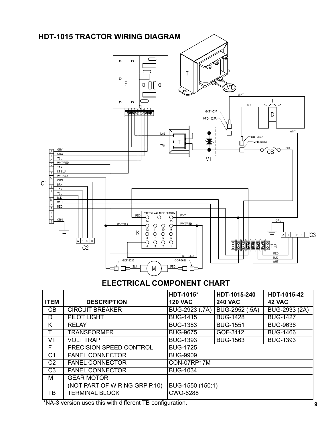<span id="page-8-0"></span>

# **ELECTRICAL COMPONENT CHART**

|                |                               | HDT-1015*        | HDT-1015-240    | HDT-1015-42     |
|----------------|-------------------------------|------------------|-----------------|-----------------|
| <b>ITEM</b>    | <b>DESCRIPTION</b>            | <b>120 VAC</b>   | <b>240 VAC</b>  | 42 VAC          |
| CB             | <b>CIRCUIT BREAKER</b>        | BUG-2923 (.7A)   | BUG-2952 (.5A)  | BUG-2933 (2A)   |
| D              | PILOT LIGHT                   | <b>BUG-1415</b>  | <b>BUG-1428</b> | <b>BUG-1427</b> |
| K              | <b>RELAY</b>                  | <b>BUG-1383</b>  | <b>BUG-1551</b> | <b>BUG-9636</b> |
|                | <b>TRANSFORMER</b>            | <b>BUG-9675</b>  | GOF-3112        | <b>BUG-1466</b> |
| VT             | <b>VOLT TRAP</b>              | <b>BUG-1393</b>  | <b>BUG-1563</b> | <b>BUG-1393</b> |
| F              | PRECISION SPEED CONTROL       | <b>BUG-1725</b>  |                 |                 |
| C <sub>1</sub> | <b>PANEL CONNECTOR</b>        | <b>BUG-9909</b>  |                 |                 |
| C <sub>2</sub> | <b>PANEL CONNECTOR</b>        | CON-07RP17M      |                 |                 |
| C <sub>3</sub> | <b>PANEL CONNECTOR</b>        | <b>BUG-1034</b>  |                 |                 |
| М              | <b>GEAR MOTOR</b>             |                  |                 |                 |
|                | (NOT PART OF WIRING GRP P.10) | BUG-1550 (150:1) |                 |                 |
| ТB             | <b>TERMINAL BLOCK</b>         | CWO-6288         |                 |                 |

\*NA-3 version uses this with different TB configuration.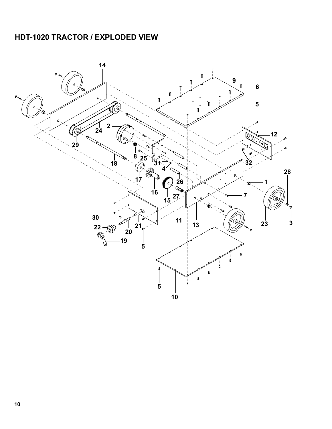# <span id="page-9-0"></span>**HDT-1020 TRACTOR / EXPLODED VIEW**

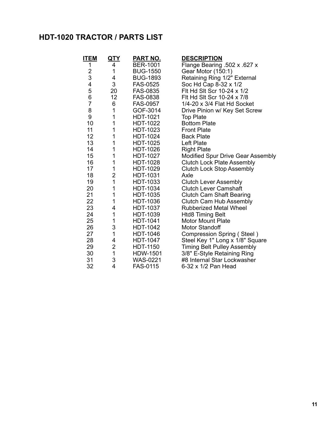# <span id="page-10-0"></span>**HDT-1020 TRACTOR / PARTS LIST**

| <b>ITEM</b>             | <u>QTY</u>     | <b>PART NO.</b> | <b>DESCRIPTION</b>                 |
|-------------------------|----------------|-----------------|------------------------------------|
| 1                       | 4              | <b>BER-1001</b> | Flange Bearing .502 x .627 x       |
| $\overline{\mathbf{c}}$ | 1              | <b>BUG-1550</b> | Gear Motor (150:1)                 |
| 3                       | 4              | <b>BUG-1893</b> | Retaining Ring 1/2" External       |
| 4                       | 3              | <b>FAS-0525</b> | Soc Hd Cap 8-32 x 1/2              |
| 5                       | 20             | <b>FAS-0835</b> | Fit Hd Sit Scr 10-24 x 1/2         |
| 6                       | 12             | <b>FAS-0838</b> | Fit Hd Sit Scr 10-24 x 7/8         |
| $\overline{7}$          | 6              | <b>FAS-0957</b> | 1/4-20 x 3/4 Flat Hd Socket        |
| 8                       | 1              | GOF-3014        | Drive Pinion w/ Key Set Screw      |
| 9                       | 1              | <b>HDT-1021</b> | <b>Top Plate</b>                   |
| 10                      | 1              | HDT-1022        | <b>Bottom Plate</b>                |
| 11                      | 1              | HDT-1023        | <b>Front Plate</b>                 |
| 12                      | 1              | HDT-1024        | <b>Back Plate</b>                  |
| 13                      | 1              | HDT-1025        | Left Plate                         |
| 14                      | 1              | HDT-1026        | <b>Right Plate</b>                 |
| 15                      | 1              | <b>HDT-1027</b> | Modified Spur Drive Gear Assembly  |
| 16                      | 1              | HDT-1028        | <b>Clutch Lock Plate Assembly</b>  |
| 17                      | 1              | HDT-1029        | <b>Clutch Lock Stop Assembly</b>   |
| 18                      | $\overline{2}$ | <b>HDT-1031</b> | Axle                               |
| 19                      | $\mathbf{1}$   | HDT-1033        | <b>Clutch Lever Assembly</b>       |
| 20                      | 1              | HDT-1034        | <b>Clutch Lever Camshaft</b>       |
| 21                      | 1              | HDT-1035        | <b>Clutch Cam Shaft Bearing</b>    |
| 22                      | 1              | HDT-1036        | Clutch Cam Hub Assembly            |
| 23                      | 4              | <b>HDT-1037</b> | <b>Rubberized Metal Wheel</b>      |
| 24                      | 1              | HDT-1039        | <b>Htd8 Timing Belt</b>            |
| 25                      | 1              | HDT-1041        | <b>Motor Mount Plate</b>           |
| 26                      | 3              | <b>HDT-1042</b> | <b>Motor Standoff</b>              |
| 27                      | $\mathbf{1}$   | <b>HDT-1046</b> | Compression Spring (Steel)         |
| 28                      | 4              | <b>HDT-1047</b> | Steel Key 1" Long x 1/8" Square    |
| 29                      | $\overline{c}$ | <b>HDT-1150</b> | <b>Timing Belt Pulley Assembly</b> |
| 30                      | $\overline{1}$ | HDW-1501        | 3/8" E-Style Retaining Ring        |
| 31                      | 3              | <b>WAS-0221</b> | #8 Internal Star Lockwasher        |
| 32                      | $\overline{4}$ | <b>FAS-0115</b> | 6-32 x 1/2 Pan Head                |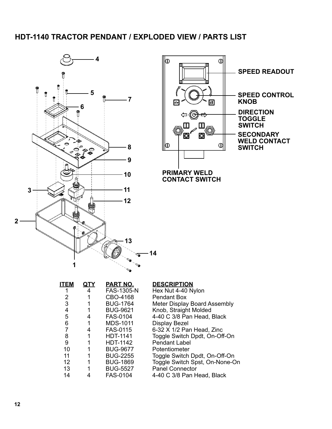# <span id="page-11-0"></span>**HDT-1140 TRACTOR PENDANT / EXPLODED VIEW / PARTS LIST**





| <b>ITEM</b> | QTY | PART NO.          | <b>DESCRIPTION</b>             |
|-------------|-----|-------------------|--------------------------------|
|             | 4   | <b>FAS-1305-N</b> | Hex Nut 4-40 Nylon             |
| 2           |     | CBO-4168          | <b>Pendant Box</b>             |
| 3           |     | <b>BUG-1764</b>   | Meter Display Board Assembly   |
| 4           |     | <b>BUG-9621</b>   | Knob, Straight Molded          |
| 5           | 4   | <b>FAS-0104</b>   | 4-40 C 3/8 Pan Head, Black     |
| 6           | 1   | <b>MDS-1011</b>   | <b>Display Bezel</b>           |
| 7           | 4   | <b>FAS-0115</b>   | 6-32 X 1/2 Pan Head, Zinc      |
| 8           | 1   | <b>HDT-1141</b>   | Toggle Switch Dpdt, On-Off-On  |
| 9           | 1   | <b>HDT-1142</b>   | <b>Pendant Label</b>           |
| 10          | 1   | <b>BUG-9677</b>   | Potentiometer                  |
| 11          |     | <b>BUG-2255</b>   | Toggle Switch Dpdt, On-Off-On  |
| 12          | 1   | <b>BUG-1869</b>   | Toggle Switch Spst, On-None-On |
| 13          |     | <b>BUG-5527</b>   | <b>Panel Connector</b>         |
| 14          | 4   | FAS-0104          | 4-40 C 3/8 Pan Head, Black     |
|             |     |                   |                                |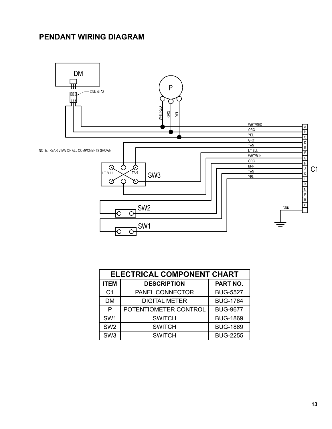# <span id="page-12-0"></span>**PENDANT WIRING DIAGRAM**



|                 | <b>ELECTRICAL COMPONENT CHART</b> |                 |  |  |  |
|-----------------|-----------------------------------|-----------------|--|--|--|
| <b>ITEM</b>     | <b>DESCRIPTION</b>                | PART NO.        |  |  |  |
| C <sub>1</sub>  | PANEL CONNECTOR                   | <b>BUG-5527</b> |  |  |  |
| <b>DM</b>       | <b>DIGITAL METER</b>              | <b>BUG-1764</b> |  |  |  |
| P               | POTENTIOMETER CONTROL             | <b>BUG-9677</b> |  |  |  |
| SW <sub>1</sub> | <b>SWITCH</b>                     | <b>BUG-1869</b> |  |  |  |
| SW <sub>2</sub> | <b>SWITCH</b>                     | <b>BUG-1869</b> |  |  |  |
| SW <sub>3</sub> | <b>SWITCH</b>                     | <b>BUG-2255</b> |  |  |  |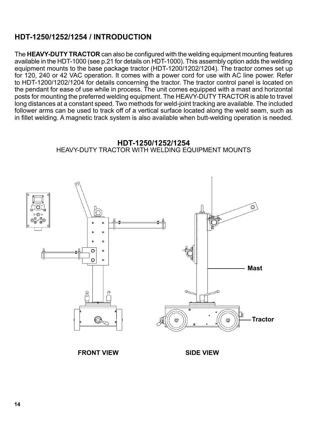## <span id="page-13-0"></span>**HDT-1250/1252/1254 / INTRODUCTION**

The **HEAVY-DUTY TRACTOR** can also be configured with the welding equipment mounting features available in the HDT-1000 (see p.21 for details on HDT-1000). This assembly option adds the welding equipment mounts to the base package tractor (HDT-1200/1202/1204). The tractor comes set up for 120, 240 or 42 VAC operation. It comes with a power cord for use with AC line power. Refer to HDT-1200/1202/1204 for details concerning the tractor. The tractor control panel is located on the pendant for ease of use while in process. The unit comes equipped with a mast and horizontal posts for mounting the preferred welding equipment. The HEAVY-DUTY TRACTOR is able to travel long distances at a constant speed. Two methods for weld-joint tracking are available. The included follower arms can be used to track off of a vertical surface located along the weld seam, such as in fillet welding. A magnetic track system is also available when butt-welding operation is needed.





**FRONT VIEW SIDE VIEW**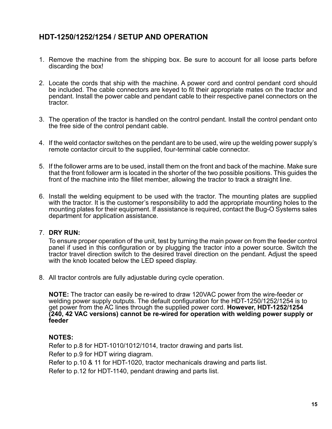# <span id="page-14-0"></span>**HDT-1250/1252/1254 / SETUP AND OPERATION**

- 1. Remove the machine from the shipping box. Be sure to account for all loose parts before discarding the box!
- 2. Locate the cords that ship with the machine. A power cord and control pendant cord should be included. The cable connectors are keyed to fit their appropriate mates on the tractor and pendant. Install the power cable and pendant cable to their respective panel connectors on the tractor.
- 3. The operation of the tractor is handled on the control pendant. Install the control pendant onto the free side of the control pendant cable.
- 4. If the weld contactor switches on the pendant are to be used, wire up the welding power supply's remote contactor circuit to the supplied, four-terminal cable connector.
- 5. If the follower arms are to be used, install them on the front and back of the machine. Make sure that the front follower arm is located in the shorter of the two possible positions. This guides the front of the machine into the fillet member, allowing the tractor to track a straight line.
- 6. Install the welding equipment to be used with the tractor. The mounting plates are supplied with the tractor. It is the customer's responsibility to add the appropriate mounting holes to the mounting plates for their equipment. If assistance is required, contact the Bug-O Systems sales department for application assistance.

#### 7. **DRY RUN:**

To ensure proper operation of the unit, test by turning the main power on from the feeder control panel if used in this configuration or by plugging the tractor into a power source. Switch the tractor travel direction switch to the desired travel direction on the pendant. Adjust the speed with the knob located below the LED speed display.

8. All tractor controls are fully adjustable during cycle operation.

**NOTE:** The tractor can easily be re-wired to draw 120VAC power from the wire-feeder or welding power supply outputs. The default configuration for the HDT-1250/1252/1254 is to get power from the AC lines through the supplied power cord. **However, HDT-1252/1254 (240, 42 VAC versions) cannot be re-wired for operation with welding power supply or feeder**

#### **NOTES:**

Refer to p.8 for HDT-1010/1012/1014, tractor drawing and parts list.

Refer to p.9 for HDT wiring diagram.

Refer to p.10 & 11 for HDT-1020, tractor mechanicals drawing and parts list.

Refer to p.12 for HDT-1140, pendant drawing and parts list.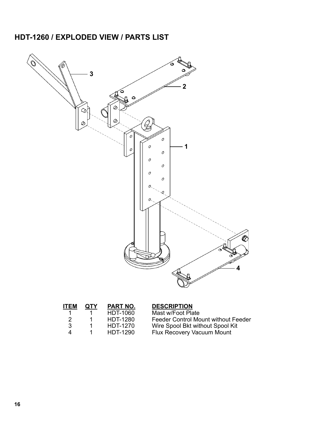# <span id="page-15-0"></span>**HDT-1260 / EXPLODED VIEW / PARTS LIST**



| <b>ITEM</b> | <b>QTY</b> | PART NO.        | <b>DESCRIPTION</b>                  |
|-------------|------------|-----------------|-------------------------------------|
|             |            | <b>HDT-1060</b> | Mast w/Foot Plate                   |
| 2           |            | <b>HDT-1280</b> | Feeder Control Mount without Feeder |
| 3           |            | <b>HDT-1270</b> | Wire Spool Bkt without Spool Kit    |
| Δ           |            | <b>HDT-1290</b> | Flux Recovery Vacuum Mount          |
|             |            |                 |                                     |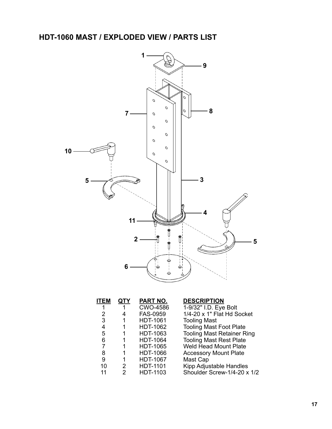<span id="page-16-0"></span>**HDT-1060 MAST / EXPLODED VIEW / PARTS LIST**



| <b>ITEM</b> | <u>QTY</u>     | PART NO.        | <b>DESCRIPTION</b>                |
|-------------|----------------|-----------------|-----------------------------------|
|             |                | <b>CWO-4586</b> | 1-9/32" I.D. Eye Bolt             |
| 2           | 4              | FAS-0959        | 1/4-20 x 1" Flat Hd Socket        |
| 3           |                | <b>HDT-1061</b> | <b>Tooling Mast</b>               |
| 4           |                | HDT-1062        | <b>Tooling Mast Foot Plate</b>    |
| 5           |                | HDT-1063        | <b>Tooling Mast Retainer Ring</b> |
| 6           |                | <b>HDT-1064</b> | <b>Tooling Mast Rest Plate</b>    |
| 7           |                | <b>HDT-1065</b> | <b>Weld Head Mount Plate</b>      |
| 8           |                | <b>HDT-1066</b> | <b>Accessory Mount Plate</b>      |
| 9           |                | <b>HDT-1067</b> | Mast Cap                          |
| 10          | $\overline{2}$ | <b>HDT-1101</b> | Kipp Adjustable Handles           |
| 11          | 2              | HDT-1103        | Shoulder Screw-1/4-20 x 1/2       |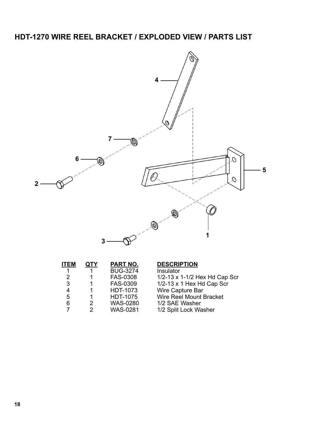<span id="page-17-0"></span>

| <b>ITEM</b> | QTY | <b>PART NO.</b> | <b>DESCRIPTION</b>               |
|-------------|-----|-----------------|----------------------------------|
| 1           |     | <b>BUG-3274</b> | Insulator                        |
| 2           |     | FAS-0308        | 1/2-13 x 1-1/2 Hex Hd Cap Scr    |
| 3           |     | <b>FAS-0309</b> | $1/2-13 \times 1$ Hex Hd Cap Scr |
| 4           |     | HDT-1073        | Wire Capture Bar                 |
| 5           | 1   | <b>HDT-1075</b> | Wire Reel Mount Bracket          |
| 6           | 2   | <b>WAS-0280</b> | 1/2 SAE Washer                   |
|             | 2   | <b>WAS-0281</b> | 1/2 Split Lock Washer            |
|             |     |                 |                                  |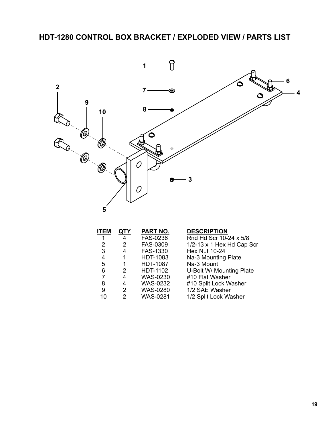<span id="page-18-0"></span>

| <b>ITEM</b> | <b>QTY</b> | PART NO.        | <b>DESCRIPTION</b>               |
|-------------|------------|-----------------|----------------------------------|
|             | 4          | FAS-0236        | Rnd Hd Scr 10-24 x 5/8           |
| 2           | 2          | FAS-0309        | $1/2-13 \times 1$ Hex Hd Cap Scr |
| 3           | 4          | <b>FAS-1330</b> | <b>Hex Nut 10-24</b>             |
| 4           |            | <b>HDT-1083</b> | Na-3 Mounting Plate              |
| 5           | 1          | <b>HDT-1087</b> | Na-3 Mount                       |
| 6           | 2          | HDT-1102        | U-Bolt W/ Mounting Plate         |
|             | 4          | <b>WAS-0230</b> | #10 Flat Washer                  |
| 8           | 4          | <b>WAS-0232</b> | #10 Split Lock Washer            |
| 9           | 2          | <b>WAS-0280</b> | 1/2 SAE Washer                   |
| 10          | 2          | <b>WAS-0281</b> | 1/2 Split Lock Washer            |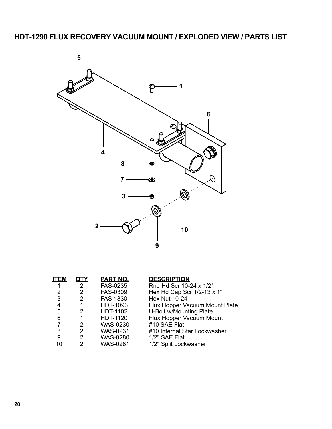<span id="page-19-0"></span>

| <b>ITEM</b> | QTY           | PART NO.        | <b>DESCRIPTION</b>             |
|-------------|---------------|-----------------|--------------------------------|
|             | $2^{\circ}$   | FAS-0235        | Rnd Hd Scr 10-24 x 1/2"        |
| 2           | 2             | FAS-0309        | Hex Hd Cap Scr 1/2-13 x 1"     |
| 3           | 2             | <b>FAS-1330</b> | <b>Hex Nut 10-24</b>           |
| 4           |               | <b>HDT-1093</b> | Flux Hopper Vacuum Mount Plate |
| 5           | 2             | <b>HDT-1102</b> | U-Bolt w/Mounting Plate        |
| 6           | 1             | <b>HDT-1120</b> | Flux Hopper Vacuum Mount       |
| 7           | 2             | <b>WAS-0230</b> | #10 SAE Flat                   |
| 8           | 2             | <b>WAS-0231</b> | #10 Internal Star Lockwasher   |
| 9           | 2             | <b>WAS-0280</b> | 1/2" SAE Flat                  |
| 10          | $\mathcal{P}$ | <b>WAS-0281</b> | 1/2" Split Lockwasher          |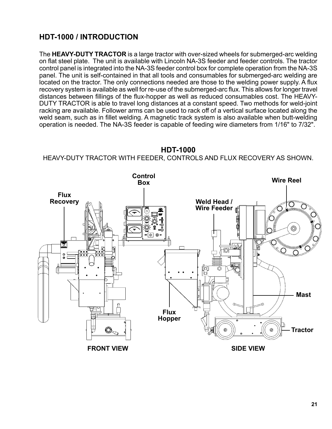# <span id="page-20-0"></span>**HDT-1000 / INTRODUCTION**

The **HEAVY-DUTY TRACTOR** is a large tractor with over-sized wheels for submerged-arc welding on flat steel plate. The unit is available with Lincoln NA-3S feeder and feeder controls. The tractor control panel is integrated into the NA-3S feeder control box for complete operation from the NA-3S panel. The unit is self-contained in that all tools and consumables for submerged-arc welding are located on the tractor. The only connections needed are those to the welding power supply. A flux recovery system is available as well for re-use of the submerged-arc flux. This allows for longer travel distances between fillings of the flux-hopper as well as reduced consumables cost. The HEAVY-DUTY TRACTOR is able to travel long distances at a constant speed. Two methods for weld-joint racking are available. Follower arms can be used to rack off of a vertical surface located along the weld seam, such as in fillet welding. A magnetic track system is also available when butt-welding operation is needed. The NA-3S feeder is capable of feeding wire diameters from 1/16" to 7/32".

#### **HDT-1000**

HEAVY-DUTY TRACTOR WITH FEEDER, CONTROLS AND FLUX RECOVERY AS SHOWN.

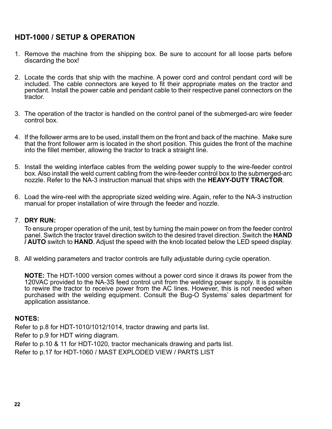# <span id="page-21-0"></span>**HDT-1000 / SETUP & OPERATION**

- 1. Remove the machine from the shipping box. Be sure to account for all loose parts before discarding the box!
- 2. Locate the cords that ship with the machine. A power cord and control pendant cord will be included. The cable connectors are keyed to fit their appropriate mates on the tractor and pendant. Install the power cable and pendant cable to their respective panel connectors on the tractor.
- 3. The operation of the tractor is handled on the control panel of the submerged-arc wire feeder control box.
- 4. If the follower arms are to be used, install them on the front and back of the machine. Make sure that the front follower arm is located in the short position. This guides the front of the machine into the fillet member, allowing the tractor to track a straight line.
- 5. Install the welding interface cables from the welding power supply to the wire-feeder control box. Also install the weld current cabling from the wire-feeder control box to the submerged-arc nozzle. Refer to the NA-3 instruction manual that ships with the **HEAVY-DUTY TRACTOR**.
- 6. Load the wire-reel with the appropriate sized welding wire. Again, refer to the NA-3 instruction manual for proper installation of wire through the feeder and nozzle.

#### 7. **DRY RUN:**

To ensure proper operation of the unit, test by turning the main power on from the feeder control panel. Switch the tractor travel direction switch to the desired travel direction. Switch the **HAND / AUTO** switch to **HAND**. Adjust the speed with the knob located below the LED speed display.

8. All welding parameters and tractor controls are fully adjustable during cycle operation.

**NOTE:** The HDT-1000 version comes without a power cord since it draws its power from the 120VAC provided to the NA-3S feed control unit from the welding power supply. It is possible to rewire the tractor to receive power from the AC lines. However, this is not needed when purchased with the welding equipment. Consult the Bug-O Systems' sales department for application assistance.

#### **NOTES:**

Refer to p.8 for HDT-1010/1012/1014, tractor drawing and parts list.

Refer to p.9 for HDT wiring diagram.

Refer to p.10 & 11 for HDT-1020, tractor mechanicals drawing and parts list.

Refer to p.17 for HDT-1060 / MAST EXPLODED VIEW / PARTS LIST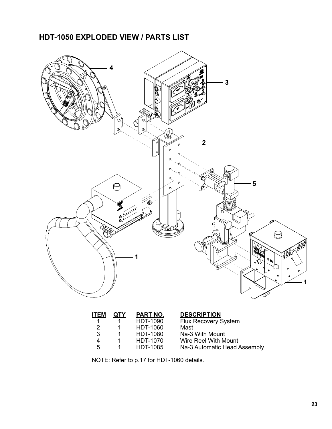# <span id="page-22-0"></span>**HDT-1050 EXPLODED VIEW / PARTS LIST**



| <b>ITEM</b> | QTY | PART NO.        | <b>DESCRIPTION</b>           |
|-------------|-----|-----------------|------------------------------|
|             |     | <b>HDT-1090</b> | <b>Flux Recovery System</b>  |
| 2           |     | <b>HDT-1060</b> | Mast                         |
| 3           |     | <b>HDT-1080</b> | Na-3 With Mount              |
| Δ           |     | <b>HDT-1070</b> | Wire Reel With Mount         |
| 5.          |     | <b>HDT-1085</b> | Na-3 Automatic Head Assembly |
|             |     |                 |                              |

NOTE: Refer to p.17 for HDT-1060 details.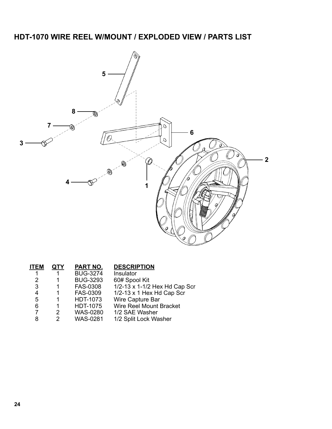# <span id="page-23-0"></span>**HDT-1070 WIRE REEL W/MOUNT / EXPLODED VIEW / PARTS LIST**



| QTY           | <b>PART NO.</b> | <b>DESCRIPTION</b>               |
|---------------|-----------------|----------------------------------|
|               | <b>BUG-3274</b> | Insulator                        |
|               | <b>BUG-3293</b> | 60# Spool Kit                    |
| 1             | <b>FAS-0308</b> | 1/2-13 x 1-1/2 Hex Hd Cap Scr    |
| 1.            | <b>FAS-0309</b> | $1/2-13 \times 1$ Hex Hd Cap Scr |
| 1.            | HDT-1073        | Wire Capture Bar                 |
| 1             | <b>HDT-1075</b> | Wire Reel Mount Bracket          |
| 2             | <b>WAS-0280</b> | 1/2 SAE Washer                   |
| $\mathcal{P}$ | <b>WAS-0281</b> | 1/2 Split Lock Washer            |
|               |                 |                                  |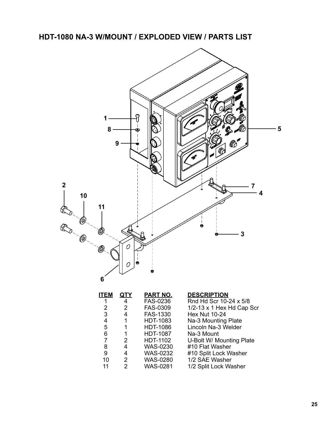<span id="page-24-0"></span>**HDT-1080 NA-3 W/MOUNT / EXPLODED VIEW / PARTS LIST**



| ITEM | <u>QTY</u>     | <b>PART NO.</b> | <b>DESCRIPTION</b>               |
|------|----------------|-----------------|----------------------------------|
|      | 4              | FAS-0236        | Rnd Hd Scr 10-24 x 5/8           |
| 2    | $\overline{2}$ | FAS-0309        | $1/2-13 \times 1$ Hex Hd Cap Scr |
| 3    | 4              | <b>FAS-1330</b> | <b>Hex Nut 10-24</b>             |
| 4    | 1              | HDT-1083        | Na-3 Mounting Plate              |
| 5    | 1              | <b>HDT-1086</b> | Lincoln Na-3 Welder              |
| 6    | 1              | <b>HDT-1087</b> | Na-3 Mount                       |
| 7    | $\mathcal{P}$  | HDT-1102        | U-Bolt W/ Mounting Plate         |
| 8    | 4              | <b>WAS-0230</b> | #10 Flat Washer                  |
| 9    | 4              | <b>WAS-0232</b> | #10 Split Lock Washer            |
| 10   | $\overline{2}$ | <b>WAS-0280</b> | 1/2 SAE Washer                   |
| 11   | 2              | <b>WAS-0281</b> | 1/2 Split Lock Washer            |
|      |                |                 |                                  |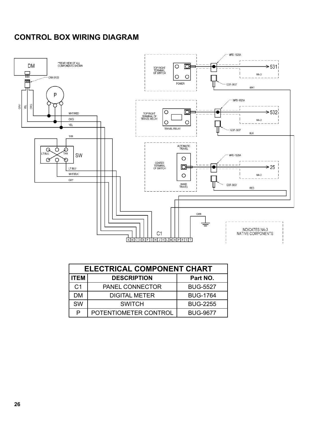# <span id="page-25-0"></span>**CONTROL BOX WIRING DIAGRAM**



| <b>ELECTRICAL COMPONENT CHART</b> |                       |                 |  |
|-----------------------------------|-----------------------|-----------------|--|
| <b>ITEM</b>                       | <b>DESCRIPTION</b>    | Part NO.        |  |
| C <sub>1</sub>                    | PANEL CONNECTOR       | <b>BUG-5527</b> |  |
| DМ                                | <b>DIGITAL METER</b>  | <b>BUG-1764</b> |  |
| <b>SW</b>                         | <b>SWITCH</b>         | <b>BUG-2255</b> |  |
| P                                 | POTENTIOMETER CONTROL | <b>BUG-9677</b> |  |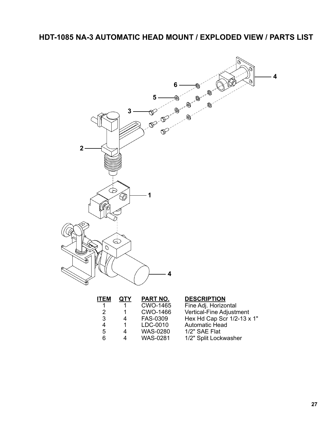# <span id="page-26-0"></span>**HDT-1085 NA-3 AUTOMATIC HEAD MOUNT / EXPLODED VIEW / PARTS LIST**



| <b>ITEM</b> | QTY            | PART NO.        | <b>DESCRIPTION</b>         |
|-------------|----------------|-----------------|----------------------------|
|             |                | <b>CWO-1465</b> | Fine Adj. Horizontal       |
| 2           |                | <b>CWO-1466</b> | Vertical-Fine Adjustment   |
| 3           | 4              | FAS-0309        | Hex Hd Cap Scr 1/2-13 x 1" |
| 4           | 1              | LDC-0010        | <b>Automatic Head</b>      |
| 5           | $\overline{4}$ | <b>WAS-0280</b> | 1/2" SAE Flat              |
| 6           | Δ              | <b>WAS-0281</b> | 1/2" Split Lockwasher      |
|             |                |                 |                            |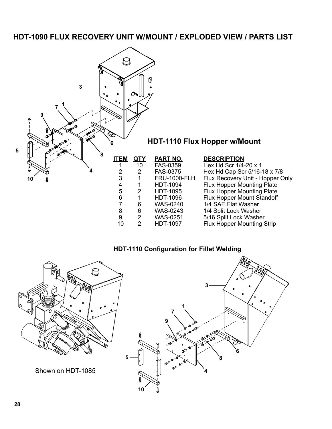### <span id="page-27-0"></span>**HDT-1090 FLUX RECOVERY UNIT W/MOUNT / EXPLODED VIEW / PARTS LIST**



#### **HDT-1110 Configuration for Fillet Welding**

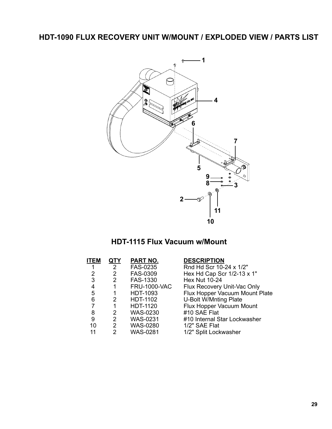# **HDT-1090 FLUX RECOVERY UNIT W/MOUNT / EXPLODED VIEW / PARTS LIST**



# **HDT-1115 Flux Vacuum w/Mount**

| <b>ITEM</b> | QTY            | PART NO.            | <b>DESCRIPTION</b>             |
|-------------|----------------|---------------------|--------------------------------|
|             | $\mathbf{2}$   | <b>FAS-0235</b>     | Rnd Hd Scr 10-24 x 1/2"        |
| 2           | 2              | FAS-0309            | Hex Hd Cap Scr 1/2-13 x 1"     |
| 3           | 2              | FAS-1330            | <b>Hex Nut 10-24</b>           |
| 4           | 1              | <b>FRU-1000-VAC</b> | Flux Recovery Unit-Vac Only    |
| 5           | 1              | HDT-1093            | Flux Hopper Vacuum Mount Plate |
| 6           | 2              | <b>HDT-1102</b>     | <b>U-Bolt W/Mnting Plate</b>   |
|             | 1              | <b>HDT-1120</b>     | Flux Hopper Vacuum Mount       |
| 8           | 2              | <b>WAS-0230</b>     | #10 SAE Flat                   |
| 9           | 2              | <b>WAS-0231</b>     | #10 Internal Star Lockwasher   |
| 10          | $2^{\circ}$    | <b>WAS-0280</b>     | 1/2" SAE Flat                  |
| 11          | $\overline{2}$ | <b>WAS-0281</b>     | 1/2" Split Lockwasher          |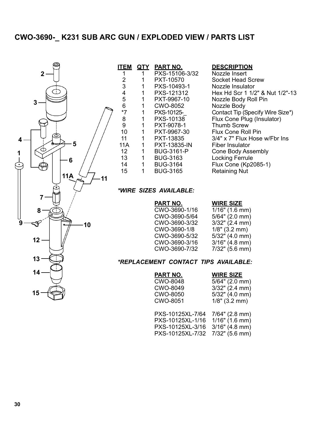# <span id="page-29-0"></span>**CWO-3690-\_ K231 SUB ARC GUN / EXPLODED VIEW / PARTS LIST**



| <b>ITEM</b> | QTY | <b>PART NO.</b>     | <b>DESCRIPTION</b>               |
|-------------|-----|---------------------|----------------------------------|
| 1           | 1   | PXS-15106-3/32      | Nozzle Insert                    |
| 2           | 1   | PXT-10570           | Socket Head Screw                |
| 3           | 1   | PXS-10493-1         | Nozzle Insulator                 |
| 4           | 1   | PXS-121312          | Hex Hd Scr 1 1/2" & Nut 1/2"-13  |
| 5           | 1   | PXT-9967-10         | Nozzle Body Roll Pin             |
| 6           | 1   | CWO-8052            | Nozzle Body                      |
| $*7$        | 1   | PXS-10125-          | Contact Tip (Specify Wire Size*) |
| 8           | 1   | PXS-10138           | Flux Cone Plug (Insulator)       |
| 9           | 1   | PXT-9078-1          | <b>Thumb Screw</b>               |
| 10          | 1   | PXT-9967-30         | <b>Flux Cone Roll Pin</b>        |
| 11          | 1   | PXT-13835           | 3/4" x 7" Flux Hose w/Fbr Ins    |
| <b>11A</b>  | 1   | <b>PXT-13835-IN</b> | <b>Fiber Insulator</b>           |
| 12          | 1   | <b>BUG-3161-P</b>   | Cone Body Assembly               |
| 13          | 1   | <b>BUG-3163</b>     | <b>Locking Ferrule</b>           |
| 14          | 1   | <b>BUG-3164</b>     | <b>Flux Cone (Kp2085-1)</b>      |
| 15          | 1   | <b>BUG-3165</b>     | <b>Retaining Nut</b>             |

#### *\*WIRE SIZES AVAILABLE:*

| <u>PART NO.</u> | <b>WIRE SIZE</b>  |
|-----------------|-------------------|
| CWO-3690-1/16   | $1/16$ " (1.6 mm) |
| CWO-3690-5/64   | $5/64$ " (2.0 mm) |
| CWO-3690-3/32   | $3/32$ " (2.4 mm) |
| CWO-3690-1/8    | $1/8$ " (3.2 mm)  |
| CWO-3690-5/32   | $5/32$ " (4.0 mm) |
| CWO-3690-3/16   | $3/16"$ (4.8 mm)  |
| CWO-3690-7/32   | $7/32$ " (5.6 mm) |
|                 |                   |

#### *\*REPLACEMENT CONTACT TIPS AVAILABLE:*

| <u>PART NO.</u><br><b>CWO-8048</b><br>CWO-8049<br>CWO-8050<br><b>CWO-8051</b> | <b>WIRE SIZE</b><br>$5/64$ " (2.0 mm)<br>$3/32$ " (2.4 mm)<br>$5/32$ " (4.0 mm)<br>$1/8$ " (3.2 mm) |
|-------------------------------------------------------------------------------|-----------------------------------------------------------------------------------------------------|
| PXS-10125XL-7/64 7/64" (2.8 mm)<br>PXS-10125XL-1/16                           | $1/16"$ (1.6 mm)                                                                                    |

PXS-10125XL-3/16 3/16" (4.8 mm) PXS-10125XL-7/32 7/32" (5.6 mm)